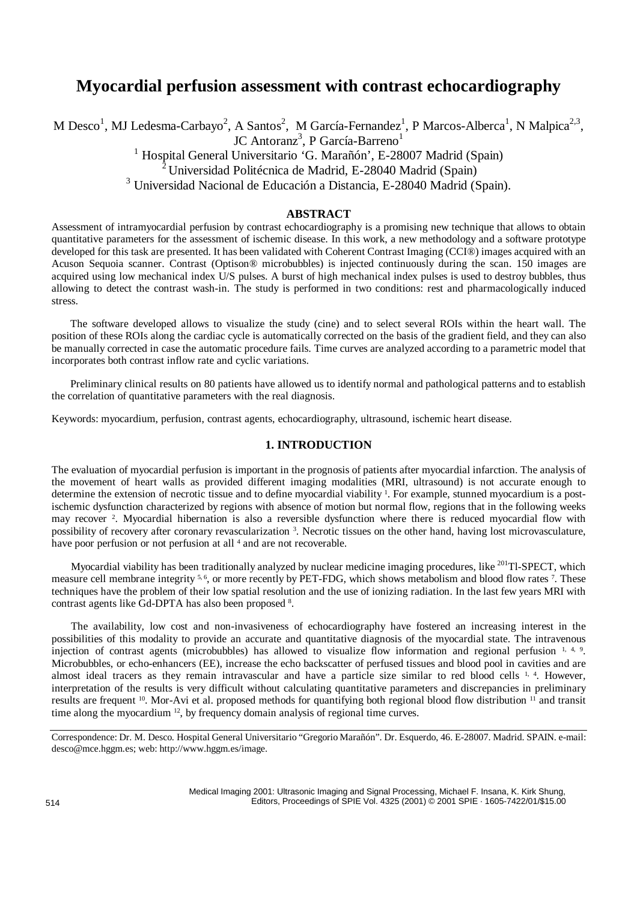# **Myocardial perfusion assessment with contrast echocardiography**

M Desco<sup>1</sup>, MJ Ledesma-Carbayo<sup>2</sup>, A Santos<sup>2</sup>, M García-Fernandez<sup>1</sup>, P Marcos-Alberca<sup>1</sup>, N Malpica<sup>2,3</sup>,  $JC$  Antoranz<sup>3</sup>, P García-Barreno<sup>1</sup>

<sup>1</sup> Hospital General Universitario 'G. Marañón', E-28007 Madrid (Spain)

 $^2$ Universidad Politécnica de Madrid, E-28040 Madrid (Spain)

 $3$  Universidad Nacional de Educación a Distancia, E-28040 Madrid (Spain).

## **ABSTRACT**

Assessment of intramyocardial perfusion by contrast echocardiography is a promising new technique that allows to obtain quantitative parameters for the assessment of ischemic disease. In this work, a new methodology and a software prototype developed for this task are presented. It has been validated with Coherent Contrast Imaging (CCI®) images acquired with an Acuson Sequoia scanner. Contrast (Optison® microbubbles) is injected continuously during the scan. 150 images are acquired using low mechanical index U/S pulses. A burst of high mechanical index pulses is used to destroy bubbles, thus allowing to detect the contrast wash-in. The study is performed in two conditions: rest and pharmacologically induced stress.

The software developed allows to visualize the study (cine) and to select several ROIs within the heart wall. The position of these ROIs along the cardiac cycle is automatically corrected on the basis of the gradient field, and they can also be manually corrected in case the automatic procedure fails. Time curves are analyzed according to a parametric model that incorporates both contrast inflow rate and cyclic variations.

Preliminary clinical results on 80 patients have allowed us to identify normal and pathological patterns and to establish the correlation of quantitative parameters with the real diagnosis.

Keywords: myocardium, perfusion, contrast agents, echocardiography, ultrasound, ischemic heart disease.

#### **1. INTRODUCTION**

The evaluation of myocardial perfusion is important in the prognosis of patients after myocardial infarction. The analysis of the movement of heart walls as provided different imaging modalities (MRI, ultrasound) is not accurate enough to determine the extension of necrotic tissue and to define myocardial viability <sup>1</sup>. For example, stunned myocardium is a postischemic dysfunction characterized by regions with absence of motion but normal flow, regions that in the following weeks may recover <sup>2</sup>. Myocardial hibernation is also a reversible dysfunction where there is reduced myocardial flow with possibility of recovery after coronary revascularization <sup>3</sup>. Necrotic tissues on the other hand, having lost microvasculature, have poor perfusion or not perfusion at all <sup>4</sup> and are not recoverable.

Myocardial viability has been traditionally analyzed by nuclear medicine imaging procedures, like <sup>201</sup>Tl-SPECT, which measure cell membrane integrity  $5.6$ , or more recently by PET-FDG, which shows metabolism and blood flow rates  $7$ . These techniques have the problem of their low spatial resolution and the use of ionizing radiation. In the last few years MRI with contrast agents like Gd-DPTA has also been proposed 8.

The availability, low cost and non-invasiveness of echocardiography have fostered an increasing interest in the possibilities of this modality to provide an accurate and quantitative diagnosis of the myocardial state. The intravenous injection of contrast agents (microbubbles) has allowed to visualize flow information and regional perfusion  $1, 4, 9$ . Microbubbles, or echo-enhancers (EE), increase the echo backscatter of perfused tissues and blood pool in cavities and are almost ideal tracers as they remain intravascular and have a particle size similar to red blood cells 1, 4. However, interpretation of the results is very difficult without calculating quantitative parameters and discrepancies in preliminary results are frequent 10. Mor-Avi et al. proposed methods for quantifying both regional blood flow distribution <sup>11</sup> and transit time along the myocardium 12, by frequency domain analysis of regional time curves.

Correspondence: Dr. M. Desco. Hospital General Universitario "Gregorio Marañón". Dr. Esquerdo, 46. E-28007. Madrid. SPAIN. e-mail: desco@mce.hggm.es; web: http://www.hggm.es/image.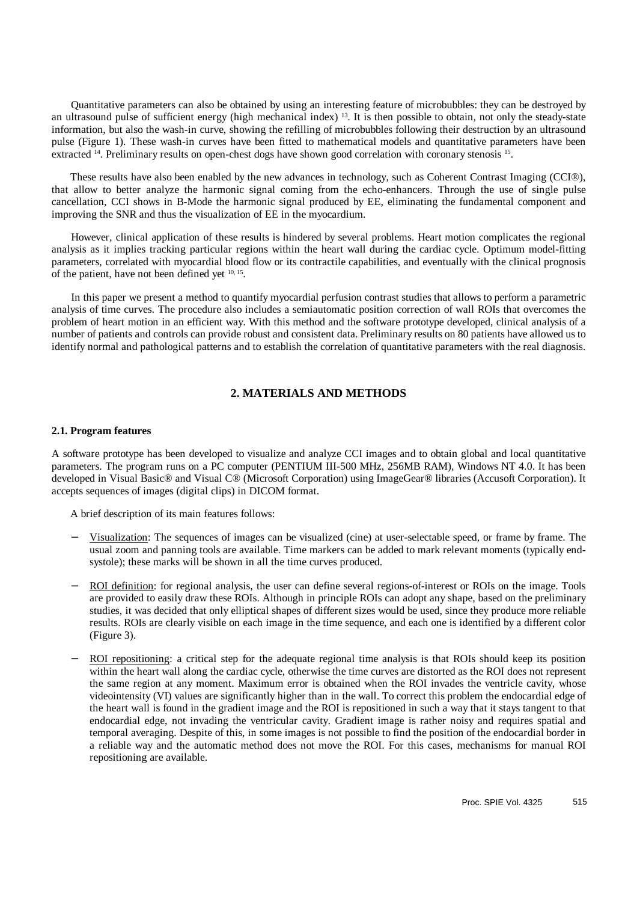Quantitative parameters can also be obtained by using an interesting feature of microbubbles: they can be destroyed by an ultrasound pulse of sufficient energy (high mechanical index)  $^{13}$ . It is then possible to obtain, not only the steady-state information, but also the wash-in curve, showing the refilling of microbubbles following their destruction by an ultrasound pulse (Figure 1). These wash-in curves have been fitted to mathematical models and quantitative parameters have been extracted <sup>14</sup>. Preliminary results on open-chest dogs have shown good correlation with coronary stenosis <sup>15</sup>.

These results have also been enabled by the new advances in technology, such as Coherent Contrast Imaging (CCI®), that allow to better analyze the harmonic signal coming from the echo-enhancers. Through the use of single pulse cancellation, CCI shows in B-Mode the harmonic signal produced by EE, eliminating the fundamental component and improving the SNR and thus the visualization of EE in the myocardium.

However, clinical application of these results is hindered by several problems. Heart motion complicates the regional analysis as it implies tracking particular regions within the heart wall during the cardiac cycle. Optimum model-fitting parameters, correlated with myocardial blood flow or its contractile capabilities, and eventually with the clinical prognosis of the patient, have not been defined yet 10, 15.

In this paper we present a method to quantify myocardial perfusion contrast studies that allows to perform a parametric analysis of time curves. The procedure also includes a semiautomatic position correction of wall ROIs that overcomes the problem of heart motion in an efficient way. With this method and the software prototype developed, clinical analysis of a number of patients and controls can provide robust and consistent data. Preliminary results on 80 patients have allowed us to identify normal and pathological patterns and to establish the correlation of quantitative parameters with the real diagnosis.

# **2. MATERIALS AND METHODS**

#### **2.1. Program features**

A software prototype has been developed to visualize and analyze CCI images and to obtain global and local quantitative parameters. The program runs on a PC computer (PENTIUM III-500 MHz, 256MB RAM), Windows NT 4.0. It has been developed in Visual Basic® and Visual C® (Microsoft Corporation) using ImageGear® libraries (Accusoft Corporation). It accepts sequences of images (digital clips) in DICOM format.

A brief description of its main features follows:

- − Visualization: The sequences of images can be visualized (cine) at user-selectable speed, or frame by frame. The usual zoom and panning tools are available. Time markers can be added to mark relevant moments (typically endsystole); these marks will be shown in all the time curves produced.
- − ROI definition: for regional analysis, the user can define several regions-of-interest or ROIs on the image. Tools are provided to easily draw these ROIs. Although in principle ROIs can adopt any shape, based on the preliminary studies, it was decided that only elliptical shapes of different sizes would be used, since they produce more reliable results. ROIs are clearly visible on each image in the time sequence, and each one is identified by a different color (Figure 3).
- ROI repositioning: a critical step for the adequate regional time analysis is that ROIs should keep its position within the heart wall along the cardiac cycle, otherwise the time curves are distorted as the ROI does not represent the same region at any moment. Maximum error is obtained when the ROI invades the ventricle cavity, whose videointensity (VI) values are significantly higher than in the wall. To correct this problem the endocardial edge of the heart wall is found in the gradient image and the ROI is repositioned in such a way that it stays tangent to that endocardial edge, not invading the ventricular cavity. Gradient image is rather noisy and requires spatial and temporal averaging. Despite of this, in some images is not possible to find the position of the endocardial border in a reliable way and the automatic method does not move the ROI. For this cases, mechanisms for manual ROI repositioning are available.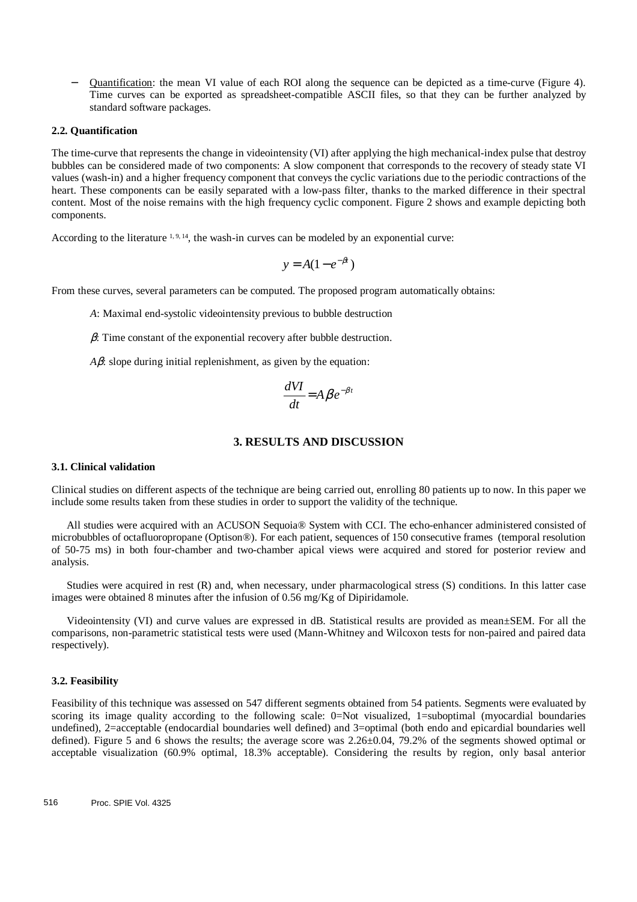− Quantification: the mean VI value of each ROI along the sequence can be depicted as a time-curve (Figure 4). Time curves can be exported as spreadsheet-compatible ASCII files, so that they can be further analyzed by standard software packages.

#### **2.2. Quantification**

The time-curve that represents the change in videointensity (VI) after applying the high mechanical-index pulse that destroy bubbles can be considered made of two components: A slow component that corresponds to the recovery of steady state VI values (wash-in) and a higher frequency component that conveys the cyclic variations due to the periodic contractions of the heart. These components can be easily separated with a low-pass filter, thanks to the marked difference in their spectral content. Most of the noise remains with the high frequency cyclic component. Figure 2 shows and example depicting both components.

According to the literature  $1, 9, 14$ , the wash-in curves can be modeled by an exponential curve:

$$
y = A(1 - e^{-\beta t})
$$

From these curves, several parameters can be computed. The proposed program automatically obtains:

*A*: Maximal end-systolic videointensity previous to bubble destruction

 $\beta$ : Time constant of the exponential recovery after bubble destruction.

 $A\beta$ : slope during initial replenishment, as given by the equation:

$$
\frac{dVI}{dt} = A\beta e^{-\beta t}
$$

#### **3. RESULTS AND DISCUSSION**

#### **3.1. Clinical validation**

Clinical studies on different aspects of the technique are being carried out, enrolling 80 patients up to now. In this paper we include some results taken from these studies in order to support the validity of the technique.

All studies were acquired with an ACUSON Sequoia® System with CCI. The echo-enhancer administered consisted of microbubbles of octafluoropropane (Optison®). For each patient, sequences of 150 consecutive frames (temporal resolution of 50-75 ms) in both four-chamber and two-chamber apical views were acquired and stored for posterior review and analysis.

Studies were acquired in rest (R) and, when necessary, under pharmacological stress (S) conditions. In this latter case images were obtained 8 minutes after the infusion of 0.56 mg/Kg of Dipiridamole.

Videointensity (VI) and curve values are expressed in dB. Statistical results are provided as mean±SEM. For all the comparisons, non-parametric statistical tests were used (Mann-Whitney and Wilcoxon tests for non-paired and paired data respectively).

#### **3.2. Feasibility**

Feasibility of this technique was assessed on 547 different segments obtained from 54 patients. Segments were evaluated by scoring its image quality according to the following scale: 0=Not visualized, 1=suboptimal (myocardial boundaries undefined), 2=acceptable (endocardial boundaries well defined) and 3=optimal (both endo and epicardial boundaries well defined). Figure 5 and 6 shows the results; the average score was 2.26±0.04, 79.2% of the segments showed optimal or acceptable visualization (60.9% optimal, 18.3% acceptable). Considering the results by region, only basal anterior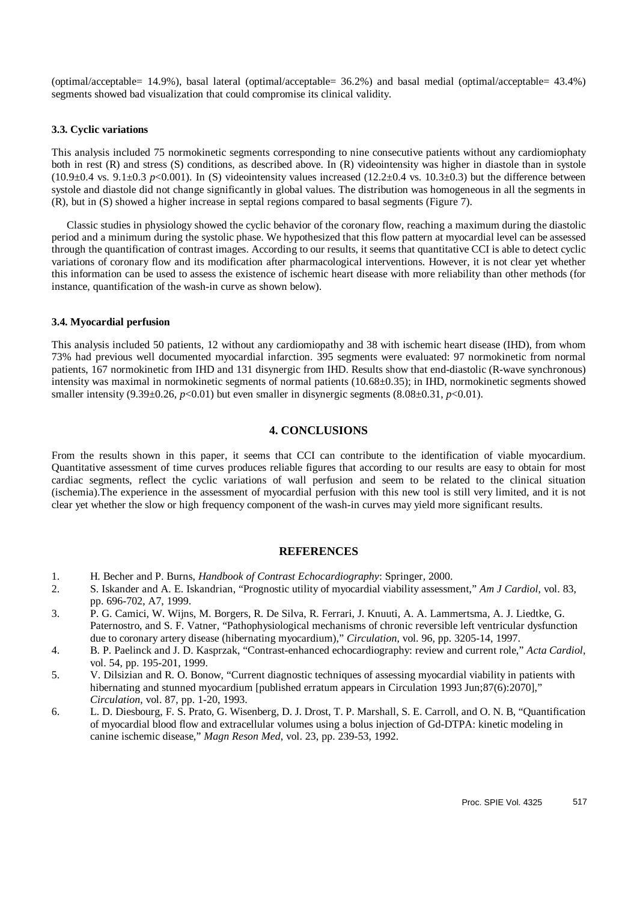(optimal/acceptable= 14.9%), basal lateral (optimal/acceptable= 36.2%) and basal medial (optimal/acceptable= 43.4%) segments showed bad visualization that could compromise its clinical validity.

#### **3.3. Cyclic variations**

This analysis included 75 normokinetic segments corresponding to nine consecutive patients without any cardiomiophaty both in rest (R) and stress (S) conditions, as described above. In (R) videointensity was higher in diastole than in systole  $(10.9\pm0.4 \text{ vs. } 9.1\pm0.3 \text{ p}<0.001)$ . In (S) videointensity values increased  $(12.2\pm0.4 \text{ vs. } 10.3\pm0.3)$  but the difference between systole and diastole did not change significantly in global values. The distribution was homogeneous in all the segments in (R), but in (S) showed a higher increase in septal regions compared to basal segments (Figure 7).

Classic studies in physiology showed the cyclic behavior of the coronary flow, reaching a maximum during the diastolic period and a minimum during the systolic phase. We hypothesized that this flow pattern at myocardial level can be assessed through the quantification of contrast images. According to our results, it seems that quantitative CCI is able to detect cyclic variations of coronary flow and its modification after pharmacological interventions. However, it is not clear yet whether this information can be used to assess the existence of ischemic heart disease with more reliability than other methods (for instance, quantification of the wash-in curve as shown below).

### **3.4. Myocardial perfusion**

This analysis included 50 patients, 12 without any cardiomiopathy and 38 with ischemic heart disease (IHD), from whom 73% had previous well documented myocardial infarction. 395 segments were evaluated: 97 normokinetic from normal patients, 167 normokinetic from IHD and 131 disynergic from IHD. Results show that end-diastolic (R-wave synchronous) intensity was maximal in normokinetic segments of normal patients (10.68±0.35); in IHD, normokinetic segments showed smaller intensity (9.39 $\pm$ 0.26, *p*<0.01) but even smaller in disynergic segments (8.08 $\pm$ 0.31, *p*<0.01).

## **4. CONCLUSIONS**

From the results shown in this paper, it seems that CCI can contribute to the identification of viable myocardium. Quantitative assessment of time curves produces reliable figures that according to our results are easy to obtain for most cardiac segments, reflect the cyclic variations of wall perfusion and seem to be related to the clinical situation (ischemia).The experience in the assessment of myocardial perfusion with this new tool is still very limited, and it is not clear yet whether the slow or high frequency component of the wash-in curves may yield more significant results.

#### **REFERENCES**

- 1. H. Becher and P. Burns, *Handbook of Contrast Echocardiography*: Springer, 2000.
- 2. S. Iskander and A. E. Iskandrian, "Prognostic utility of myocardial viability assessment," *Am J Cardiol*, vol. 83, pp. 696-702, A7, 1999.
- 3. P. G. Camici, W. Wijns, M. Borgers, R. De Silva, R. Ferrari, J. Knuuti, A. A. Lammertsma, A. J. Liedtke, G. Paternostro, and S. F. Vatner, "Pathophysiological mechanisms of chronic reversible left ventricular dysfunction due to coronary artery disease (hibernating myocardium)," *Circulation*, vol. 96, pp. 3205-14, 1997.
- 4. B. P. Paelinck and J. D. Kasprzak, "Contrast-enhanced echocardiography: review and current role," *Acta Cardiol*, vol. 54, pp. 195-201, 1999.
- 5. V. Dilsizian and R. O. Bonow, "Current diagnostic techniques of assessing myocardial viability in patients with hibernating and stunned myocardium [published erratum appears in Circulation 1993 Jun;87(6):2070]," *Circulation*, vol. 87, pp. 1-20, 1993.
- 6. L. D. Diesbourg, F. S. Prato, G. Wisenberg, D. J. Drost, T. P. Marshall, S. E. Carroll, and O. N. B, "Quantification of myocardial blood flow and extracellular volumes using a bolus injection of Gd-DTPA: kinetic modeling in canine ischemic disease," *Magn Reson Med*, vol. 23, pp. 239-53, 1992.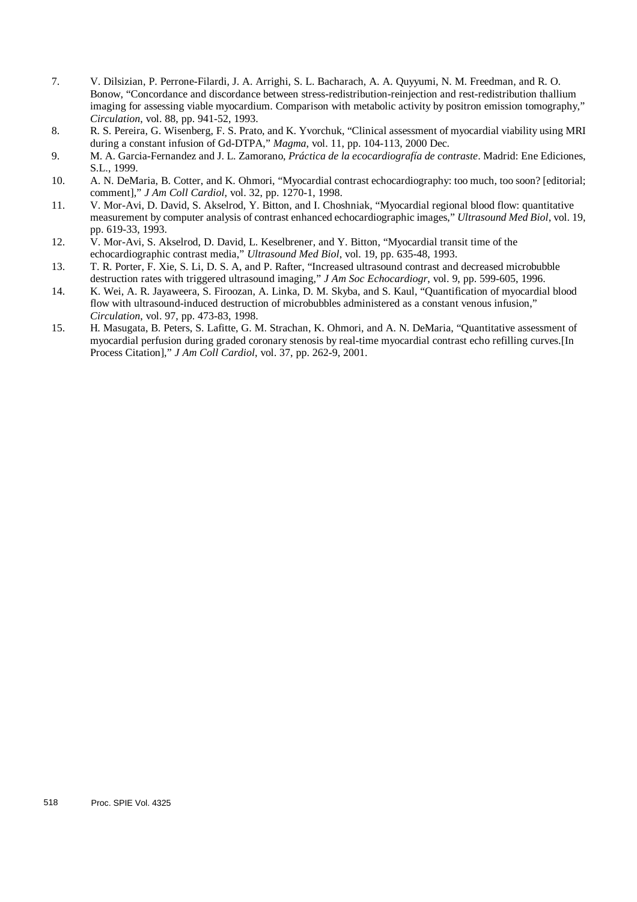- 7. V. Dilsizian, P. Perrone-Filardi, J. A. Arrighi, S. L. Bacharach, A. A. Quyyumi, N. M. Freedman, and R. O. Bonow, "Concordance and discordance between stress-redistribution-reinjection and rest-redistribution thallium imaging for assessing viable myocardium. Comparison with metabolic activity by positron emission tomography," *Circulation*, vol. 88, pp. 941-52, 1993.
- 8. R. S. Pereira, G. Wisenberg, F. S. Prato, and K. Yvorchuk, "Clinical assessment of myocardial viability using MRI during a constant infusion of Gd-DTPA," *Magma*, vol. 11, pp. 104-113, 2000 Dec.
- 9. M. A. Garcia-Fernandez and J. L. Zamorano, *Práctica de la ecocardiografía de contraste*. Madrid: Ene Ediciones, S.L., 1999.
- 10. A. N. DeMaria, B. Cotter, and K. Ohmori, "Myocardial contrast echocardiography: too much, too soon? [editorial; comment]," *J Am Coll Cardiol*, vol. 32, pp. 1270-1, 1998.
- 11. V. Mor-Avi, D. David, S. Akselrod, Y. Bitton, and I. Choshniak, "Myocardial regional blood flow: quantitative measurement by computer analysis of contrast enhanced echocardiographic images," *Ultrasound Med Biol*, vol. 19, pp. 619-33, 1993.
- 12. V. Mor-Avi, S. Akselrod, D. David, L. Keselbrener, and Y. Bitton, "Myocardial transit time of the echocardiographic contrast media," *Ultrasound Med Biol*, vol. 19, pp. 635-48, 1993.
- 13. T. R. Porter, F. Xie, S. Li, D. S. A, and P. Rafter, "Increased ultrasound contrast and decreased microbubble destruction rates with triggered ultrasound imaging," *J Am Soc Echocardiogr*, vol. 9, pp. 599-605, 1996.
- 14. K. Wei, A. R. Jayaweera, S. Firoozan, A. Linka, D. M. Skyba, and S. Kaul, "Quantification of myocardial blood flow with ultrasound-induced destruction of microbubbles administered as a constant venous infusion," *Circulation*, vol. 97, pp. 473-83, 1998.
- 15. H. Masugata, B. Peters, S. Lafitte, G. M. Strachan, K. Ohmori, and A. N. DeMaria, "Quantitative assessment of myocardial perfusion during graded coronary stenosis by real-time myocardial contrast echo refilling curves.[In Process Citation]," *J Am Coll Cardiol*, vol. 37, pp. 262-9, 2001.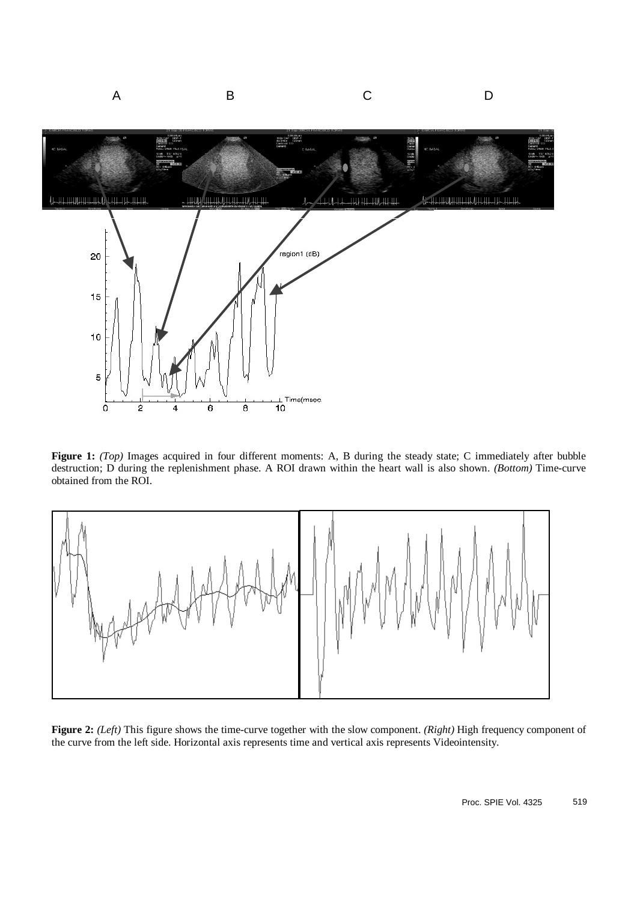

A B C D

**Figure 1:** *(Top)* Images acquired in four different moments: A, B during the steady state; C immediately after bubble destruction; D during the replenishment phase. A ROI drawn within the heart wall is also shown. *(Bottom)* Time-curve obtained from the ROI.



**Figure 2:** *(Left)* This figure shows the time-curve together with the slow component. *(Right)* High frequency component of the curve from the left side. Horizontal axis represents time and vertical axis represents Videointensity.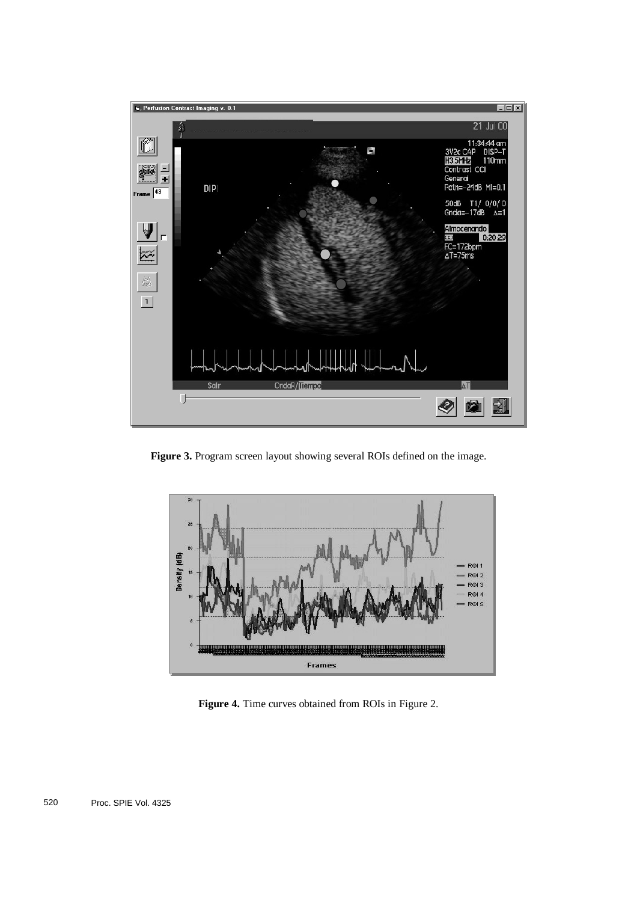

**Figure 3.** Program screen layout showing several ROIs defined on the image.



**Figure 4.** Time curves obtained from ROIs in Figure 2.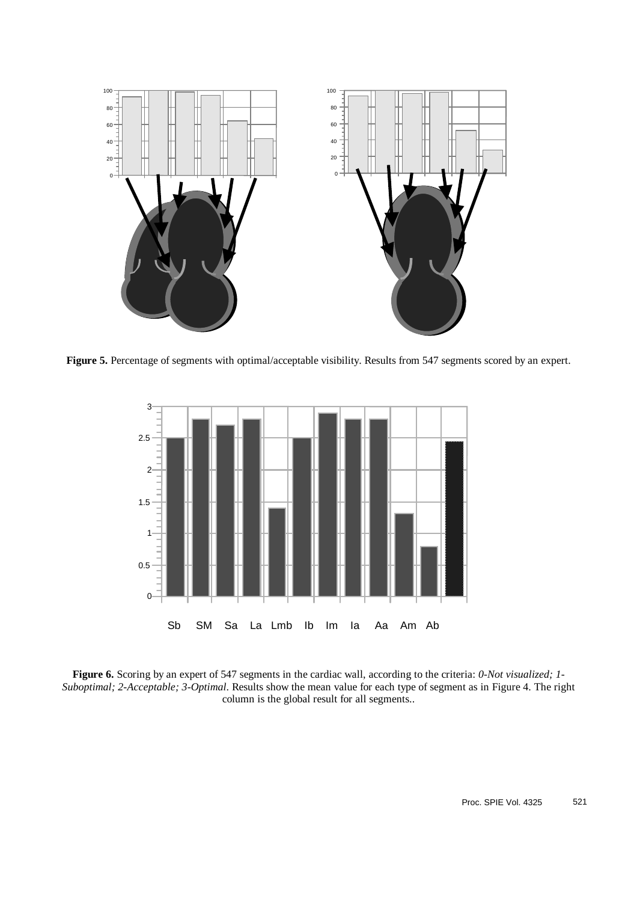

**Figure 5.** Percentage of segments with optimal/acceptable visibility. Results from 547 segments scored by an expert.



**Figure 6.** Scoring by an expert of 547 segments in the cardiac wall, according to the criteria: *0-Not visualized; 1- Suboptimal; 2-Acceptable; 3-Optimal*. Results show the mean value for each type of segment as in Figure 4. The right column is the global result for all segments..